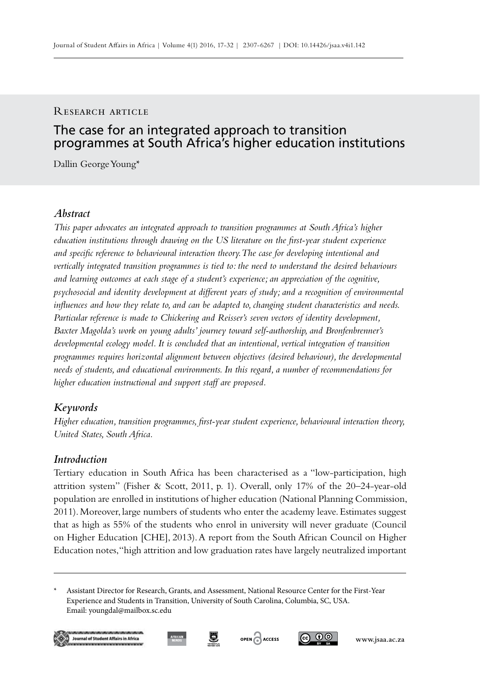#### RESEARCH ARTICLE

# The case for an integrated approach to transition programmes at South Africa's higher education institutions

Dallin George Young\*

## *Abstract*

*This paper advocates an integrated approach to transition programmes at South Africa's higher education institutions through drawing on the US literature on the first-year student experience and specific reference to behavioural interaction theory. The case for developing intentional and vertically integrated transition programmes is tied to: the need to understand the desired behaviours and learning outcomes at each stage of a student's experience; an appreciation of the cognitive, psychosocial and identity development at different years of study; and a recognition of environmental influences and how they relate to, and can be adapted to, changing student characteristics and needs. Particular reference is made to Chickering and Reisser's seven vectors of identity development, Baxter Magolda's work on young adults' journey toward self-authorship, and Bronfenbrenner's developmental ecology model. It is concluded that an intentional, vertical integration of transition programmes requires horizontal alignment between objectives (desired behaviour), the developmental needs of students, and educational environments. In this regard, a number of recommendations for higher education instructional and support staff are proposed.*

## *Keywords*

*Higher education, transition programmes, first-year student experience, behavioural interaction theory, United States, South Africa.*

## *Introduction*

Tertiary education in South Africa has been characterised as a "low-participation, high attrition system" (Fisher & Scott, 2011, p. 1). Overall, only 17% of the 20–24-year-old population are enrolled in institutions of higher education (National Planning Commission, 2011). Moreover, large numbers of students who enter the academy leave. Estimates suggest that as high as 55% of the students who enrol in university will never graduate (Council on Higher Education [CHE], 2013). A report from the South African Council on Higher Education notes, "high attrition and low graduation rates have largely neutralized important

Assistant Director for Research, Grants, and Assessment, National Resource Center for the First-Year Experience and Students in Transition, University of South Carolina, Columbia, SC, USA. Email: youngdal@mailbox.sc.edu









ெ 00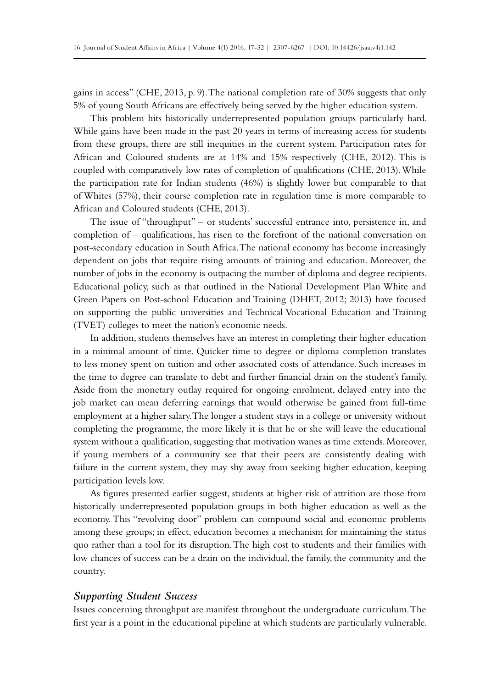gains in access" (CHE, 2013, p. 9). The national completion rate of 30% suggests that only 5% of young South Africans are effectively being served by the higher education system.

This problem hits historically underrepresented population groups particularly hard. While gains have been made in the past 20 years in terms of increasing access for students from these groups, there are still inequities in the current system. Participation rates for African and Coloured students are at 14% and 15% respectively (CHE, 2012). This is coupled with comparatively low rates of completion of qualifications (CHE, 2013). While the participation rate for Indian students (46%) is slightly lower but comparable to that of Whites (57%), their course completion rate in regulation time is more comparable to African and Coloured students (CHE, 2013).

The issue of "throughput" – or students' successful entrance into, persistence in, and completion of – qualifications, has risen to the forefront of the national conversation on post-secondary education in South Africa. The national economy has become increasingly dependent on jobs that require rising amounts of training and education. Moreover, the number of jobs in the economy is outpacing the number of diploma and degree recipients. Educational policy, such as that outlined in the National Development Plan White and Green Papers on Post-school Education and Training (DHET, 2012; 2013) have focused on supporting the public universities and Technical Vocational Education and Training (TVET) colleges to meet the nation's economic needs.

In addition, students themselves have an interest in completing their higher education in a minimal amount of time. Quicker time to degree or diploma completion translates to less money spent on tuition and other associated costs of attendance. Such increases in the time to degree can translate to debt and further financial drain on the student's family. Aside from the monetary outlay required for ongoing enrolment, delayed entry into the job market can mean deferring earnings that would otherwise be gained from full-time employment at a higher salary. The longer a student stays in a college or university without completing the programme, the more likely it is that he or she will leave the educational system without a qualification, suggesting that motivation wanes as time extends. Moreover, if young members of a community see that their peers are consistently dealing with failure in the current system, they may shy away from seeking higher education, keeping participation levels low.

As figures presented earlier suggest, students at higher risk of attrition are those from historically underrepresented population groups in both higher education as well as the economy. This "revolving door" problem can compound social and economic problems among these groups; in effect, education becomes a mechanism for maintaining the status quo rather than a tool for its disruption. The high cost to students and their families with low chances of success can be a drain on the individual, the family, the community and the country.

#### *Supporting Student Success*

Issues concerning throughput are manifest throughout the undergraduate curriculum. The first year is a point in the educational pipeline at which students are particularly vulnerable.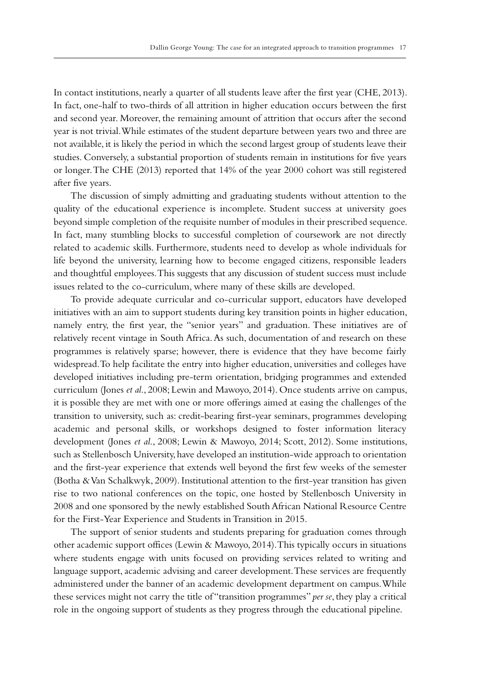In contact institutions, nearly a quarter of all students leave after the first year (CHE, 2013). In fact, one-half to two-thirds of all attrition in higher education occurs between the first and second year. Moreover, the remaining amount of attrition that occurs after the second year is not trivial. While estimates of the student departure between years two and three are not available, it is likely the period in which the second largest group of students leave their studies. Conversely, a substantial proportion of students remain in institutions for five years or longer. The CHE (2013) reported that 14% of the year 2000 cohort was still registered after five years.

The discussion of simply admitting and graduating students without attention to the quality of the educational experience is incomplete. Student success at university goes beyond simple completion of the requisite number of modules in their prescribed sequence. In fact, many stumbling blocks to successful completion of coursework are not directly related to academic skills. Furthermore, students need to develop as whole individuals for life beyond the university, learning how to become engaged citizens, responsible leaders and thoughtful employees. This suggests that any discussion of student success must include issues related to the co-curriculum, where many of these skills are developed.

To provide adequate curricular and co-curricular support, educators have developed initiatives with an aim to support students during key transition points in higher education, namely entry, the first year, the "senior years" and graduation. These initiatives are of relatively recent vintage in South Africa. As such, documentation of and research on these programmes is relatively sparse; however, there is evidence that they have become fairly widespread. To help facilitate the entry into higher education, universities and colleges have developed initiatives including pre-term orientation, bridging programmes and extended curriculum (Jones *et al*., 2008; Lewin and Mawoyo, 2014). Once students arrive on campus, it is possible they are met with one or more offerings aimed at easing the challenges of the transition to university, such as: credit-bearing first-year seminars, programmes developing academic and personal skills, or workshops designed to foster information literacy development (Jones *et al*., 2008; Lewin & Mawoyo, 2014; Scott, 2012). Some institutions, such as Stellenbosch University, have developed an institution-wide approach to orientation and the first-year experience that extends well beyond the first few weeks of the semester (Botha & Van Schalkwyk, 2009). Institutional attention to the first-year transition has given rise to two national conferences on the topic, one hosted by Stellenbosch University in 2008 and one sponsored by the newly established South African National Resource Centre for the First-Year Experience and Students in Transition in 2015.

The support of senior students and students preparing for graduation comes through other academic support offices (Lewin & Mawoyo, 2014). This typically occurs in situations where students engage with units focused on providing services related to writing and language support, academic advising and career development. These services are frequently administered under the banner of an academic development department on campus. While these services might not carry the title of "transition programmes" *per se*, they play a critical role in the ongoing support of students as they progress through the educational pipeline.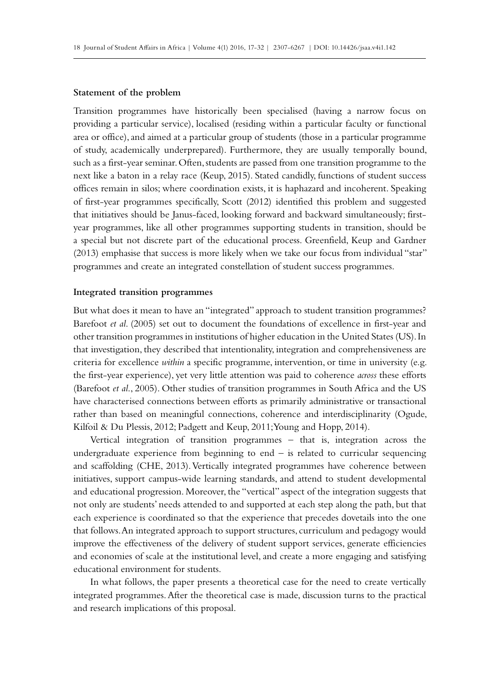#### **Statement of the problem**

Transition programmes have historically been specialised (having a narrow focus on providing a particular service), localised (residing within a particular faculty or functional area or office), and aimed at a particular group of students (those in a particular programme of study, academically underprepared). Furthermore, they are usually temporally bound, such as a first-year seminar. Often, students are passed from one transition programme to the next like a baton in a relay race (Keup, 2015). Stated candidly, functions of student success offices remain in silos; where coordination exists, it is haphazard and incoherent. Speaking of first-year programmes specifically, Scott (2012) identified this problem and suggested that initiatives should be Janus-faced, looking forward and backward simultaneously; firstyear programmes, like all other programmes supporting students in transition, should be a special but not discrete part of the educational process. Greenfield, Keup and Gardner (2013) emphasise that success is more likely when we take our focus from individual "star" programmes and create an integrated constellation of student success programmes.

#### **Integrated transition programmes**

But what does it mean to have an "integrated" approach to student transition programmes? Barefoot *et al*. (2005) set out to document the foundations of excellence in first-year and other transition programmes in institutions of higher education in the United States (US). In that investigation, they described that intentionality, integration and comprehensiveness are criteria for excellence *within* a specific programme, intervention, or time in university (e.g. the first-year experience), yet very little attention was paid to coherence *across* these efforts (Barefoot *et al*., 2005). Other studies of transition programmes in South Africa and the US have characterised connections between efforts as primarily administrative or transactional rather than based on meaningful connections, coherence and interdisciplinarity (Ogude, Kilfoil & Du Plessis, 2012; Padgett and Keup, 2011; Young and Hopp, 2014).

Vertical integration of transition programmes – that is, integration across the undergraduate experience from beginning to  $end -$  is related to curricular sequencing and scaffolding (CHE, 2013). Vertically integrated programmes have coherence between initiatives, support campus-wide learning standards, and attend to student developmental and educational progression. Moreover, the "vertical" aspect of the integration suggests that not only are students' needs attended to and supported at each step along the path, but that each experience is coordinated so that the experience that precedes dovetails into the one that follows. An integrated approach to support structures, curriculum and pedagogy would improve the effectiveness of the delivery of student support services, generate efficiencies and economies of scale at the institutional level, and create a more engaging and satisfying educational environment for students.

In what follows, the paper presents a theoretical case for the need to create vertically integrated programmes. After the theoretical case is made, discussion turns to the practical and research implications of this proposal.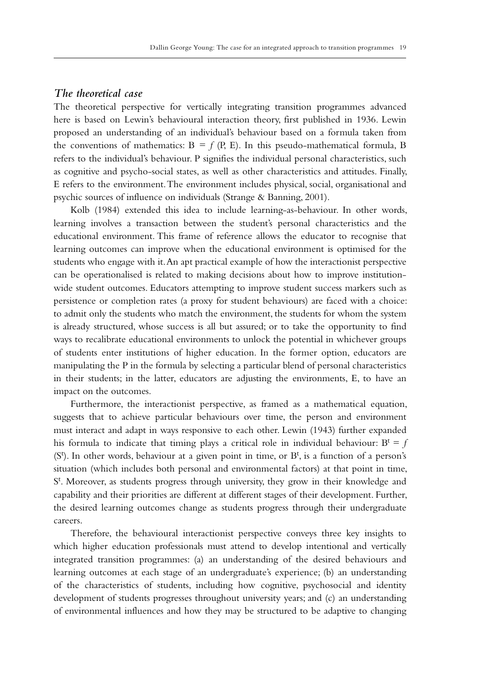### *The theoretical case*

The theoretical perspective for vertically integrating transition programmes advanced here is based on Lewin's behavioural interaction theory, first published in 1936. Lewin proposed an understanding of an individual's behaviour based on a formula taken from the conventions of mathematics:  $B = f(P, E)$ . In this pseudo-mathematical formula, B refers to the individual's behaviour. P signifies the individual personal characteristics, such as cognitive and psycho-social states, as well as other characteristics and attitudes. Finally, E refers to the environment. The environment includes physical, social, organisational and psychic sources of influence on individuals (Strange & Banning, 2001).

Kolb (1984) extended this idea to include learning-as-behaviour. In other words, learning involves a transaction between the student's personal characteristics and the educational environment. This frame of reference allows the educator to recognise that learning outcomes can improve when the educational environment is optimised for the students who engage with it. An apt practical example of how the interactionist perspective can be operationalised is related to making decisions about how to improve institutionwide student outcomes. Educators attempting to improve student success markers such as persistence or completion rates (a proxy for student behaviours) are faced with a choice: to admit only the students who match the environment, the students for whom the system is already structured, whose success is all but assured; or to take the opportunity to find ways to recalibrate educational environments to unlock the potential in whichever groups of students enter institutions of higher education. In the former option, educators are manipulating the P in the formula by selecting a particular blend of personal characteristics in their students; in the latter, educators are adjusting the environments, E, to have an impact on the outcomes.

Furthermore, the interactionist perspective, as framed as a mathematical equation, suggests that to achieve particular behaviours over time, the person and environment must interact and adapt in ways responsive to each other. Lewin (1943) further expanded his formula to indicate that timing plays a critical role in individual behaviour:  $B^t = f$  $(S<sup>t</sup>)$ . In other words, behaviour at a given point in time, or  $B<sup>t</sup>$ , is a function of a person's situation (which includes both personal and environmental factors) at that point in time, S<sup>t</sup>. Moreover, as students progress through university, they grow in their knowledge and capability and their priorities are different at different stages of their development. Further, the desired learning outcomes change as students progress through their undergraduate careers.

Therefore, the behavioural interactionist perspective conveys three key insights to which higher education professionals must attend to develop intentional and vertically integrated transition programmes: (a) an understanding of the desired behaviours and learning outcomes at each stage of an undergraduate's experience; (b) an understanding of the characteristics of students, including how cognitive, psychosocial and identity development of students progresses throughout university years; and (c) an understanding of environmental influences and how they may be structured to be adaptive to changing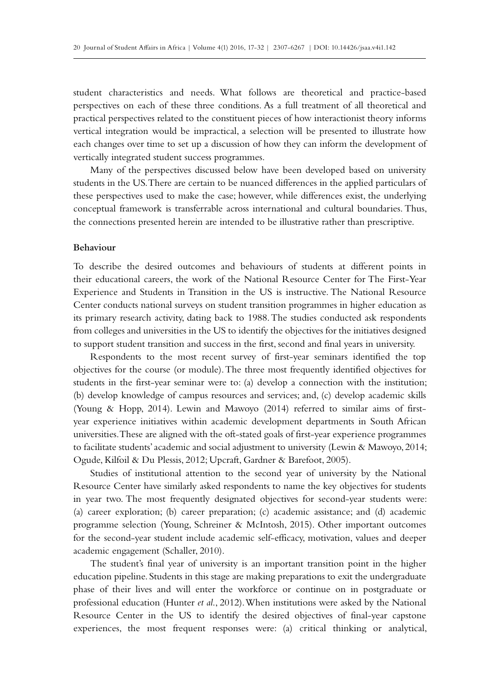student characteristics and needs. What follows are theoretical and practice-based perspectives on each of these three conditions. As a full treatment of all theoretical and practical perspectives related to the constituent pieces of how interactionist theory informs vertical integration would be impractical, a selection will be presented to illustrate how each changes over time to set up a discussion of how they can inform the development of vertically integrated student success programmes.

Many of the perspectives discussed below have been developed based on university students in the US. There are certain to be nuanced differences in the applied particulars of these perspectives used to make the case; however, while differences exist, the underlying conceptual framework is transferrable across international and cultural boundaries. Thus, the connections presented herein are intended to be illustrative rather than prescriptive.

#### **Behaviour**

To describe the desired outcomes and behaviours of students at different points in their educational careers, the work of the National Resource Center for The First-Year Experience and Students in Transition in the US is instructive. The National Resource Center conducts national surveys on student transition programmes in higher education as its primary research activity, dating back to 1988. The studies conducted ask respondents from colleges and universities in the US to identify the objectives for the initiatives designed to support student transition and success in the first, second and final years in university.

Respondents to the most recent survey of first-year seminars identified the top objectives for the course (or module). The three most frequently identified objectives for students in the first-year seminar were to: (a) develop a connection with the institution; (b) develop knowledge of campus resources and services; and, (c) develop academic skills (Young & Hopp, 2014). Lewin and Mawoyo (2014) referred to similar aims of firstyear experience initiatives within academic development departments in South African universities. These are aligned with the oft-stated goals of first-year experience programmes to facilitate students' academic and social adjustment to university (Lewin & Mawoyo, 2014; Ogude, Kilfoil & Du Plessis, 2012; Upcraft, Gardner & Barefoot, 2005).

Studies of institutional attention to the second year of university by the National Resource Center have similarly asked respondents to name the key objectives for students in year two. The most frequently designated objectives for second-year students were: (a) career exploration; (b) career preparation; (c) academic assistance; and (d) academic programme selection (Young, Schreiner & McIntosh, 2015). Other important outcomes for the second-year student include academic self-efficacy, motivation, values and deeper academic engagement (Schaller, 2010).

The student's final year of university is an important transition point in the higher education pipeline. Students in this stage are making preparations to exit the undergraduate phase of their lives and will enter the workforce or continue on in postgraduate or professional education (Hunter *et al*., 2012). When institutions were asked by the National Resource Center in the US to identify the desired objectives of final-year capstone experiences, the most frequent responses were: (a) critical thinking or analytical,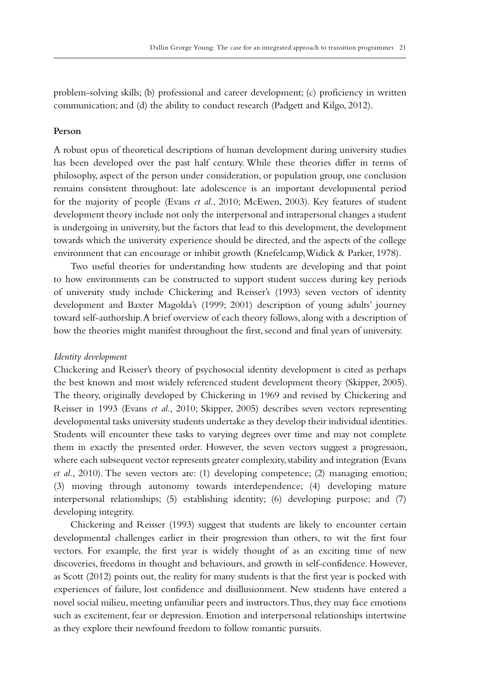problem-solving skills; (b) professional and career development; (c) proficiency in written communication; and (d) the ability to conduct research (Padgett and Kilgo, 2012).

#### **Person**

A robust opus of theoretical descriptions of human development during university studies has been developed over the past half century. While these theories differ in terms of philosophy, aspect of the person under consideration, or population group, one conclusion remains consistent throughout: late adolescence is an important developmental period for the majority of people (Evans *et al*., 2010; McEwen, 2003). Key features of student development theory include not only the interpersonal and intrapersonal changes a student is undergoing in university, but the factors that lead to this development, the development towards which the university experience should be directed, and the aspects of the college environment that can encourage or inhibit growth (Knefelcamp, Widick & Parker, 1978).

Two useful theories for understanding how students are developing and that point to how environments can be constructed to support student success during key periods of university study include Chickering and Reisser's (1993) seven vectors of identity development and Baxter Magolda's (1999; 2001) description of young adults' journey toward self-authorship. A brief overview of each theory follows, along with a description of how the theories might manifest throughout the first, second and final years of university.

#### *Identity development*

Chickering and Reisser's theory of psychosocial identity development is cited as perhaps the best known and most widely referenced student development theory (Skipper, 2005). The theory, originally developed by Chickering in 1969 and revised by Chickering and Reisser in 1993 (Evans *et al*., 2010; Skipper, 2005) describes seven vectors representing developmental tasks university students undertake as they develop their individual identities. Students will encounter these tasks to varying degrees over time and may not complete them in exactly the presented order. However, the seven vectors suggest a progression, where each subsequent vector represents greater complexity, stability and integration (Evans *et al*., 2010). The seven vectors are: (1) developing competence; (2) managing emotion; (3) moving through autonomy towards interdependence; (4) developing mature interpersonal relationships; (5) establishing identity; (6) developing purpose; and (7) developing integrity.

Chickering and Reisser (1993) suggest that students are likely to encounter certain developmental challenges earlier in their progression than others, to wit the first four vectors. For example, the first year is widely thought of as an exciting time of new discoveries, freedoms in thought and behaviours, and growth in self-confidence. However, as Scott (2012) points out, the reality for many students is that the first year is pocked with experiences of failure, lost confidence and disillusionment. New students have entered a novel social milieu, meeting unfamiliar peers and instructors. Thus, they may face emotions such as excitement, fear or depression. Emotion and interpersonal relationships intertwine as they explore their newfound freedom to follow romantic pursuits.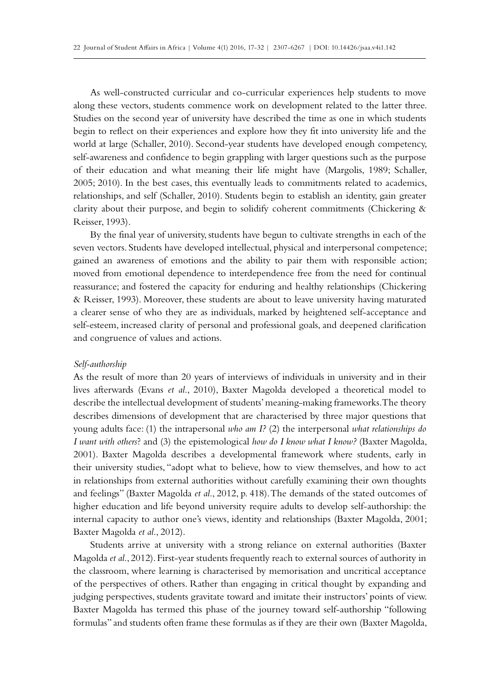As well-constructed curricular and co-curricular experiences help students to move along these vectors, students commence work on development related to the latter three. Studies on the second year of university have described the time as one in which students begin to reflect on their experiences and explore how they fit into university life and the world at large (Schaller, 2010). Second-year students have developed enough competency, self-awareness and confidence to begin grappling with larger questions such as the purpose of their education and what meaning their life might have (Margolis, 1989; Schaller, 2005; 2010). In the best cases, this eventually leads to commitments related to academics, relationships, and self (Schaller, 2010). Students begin to establish an identity, gain greater clarity about their purpose, and begin to solidify coherent commitments (Chickering & Reisser, 1993).

By the final year of university, students have begun to cultivate strengths in each of the seven vectors. Students have developed intellectual, physical and interpersonal competence; gained an awareness of emotions and the ability to pair them with responsible action; moved from emotional dependence to interdependence free from the need for continual reassurance; and fostered the capacity for enduring and healthy relationships (Chickering & Reisser, 1993). Moreover, these students are about to leave university having maturated a clearer sense of who they are as individuals, marked by heightened self-acceptance and self-esteem, increased clarity of personal and professional goals, and deepened clarification and congruence of values and actions.

#### *Self-authorship*

As the result of more than 20 years of interviews of individuals in university and in their lives afterwards (Evans *et al*., 2010), Baxter Magolda developed a theoretical model to describe the intellectual development of students' meaning-making frameworks. The theory describes dimensions of development that are characterised by three major questions that young adults face: (1) the intrapersonal *who am I?* (2) the interpersonal *what relationships do I want with others*? and (3) the epistemological *how do I know what I know?* (Baxter Magolda, 2001). Baxter Magolda describes a developmental framework where students, early in their university studies, "adopt what to believe, how to view themselves, and how to act in relationships from external authorities without carefully examining their own thoughts and feelings" (Baxter Magolda *et al*., 2012, p. 418). The demands of the stated outcomes of higher education and life beyond university require adults to develop self-authorship: the internal capacity to author one's views, identity and relationships (Baxter Magolda, 2001; Baxter Magolda *et al*., 2012).

Students arrive at university with a strong reliance on external authorities (Baxter Magolda *et al*., 2012). First-year students frequently reach to external sources of authority in the classroom, where learning is characterised by memorisation and uncritical acceptance of the perspectives of others. Rather than engaging in critical thought by expanding and judging perspectives, students gravitate toward and imitate their instructors' points of view. Baxter Magolda has termed this phase of the journey toward self-authorship "following formulas" and students often frame these formulas as if they are their own (Baxter Magolda,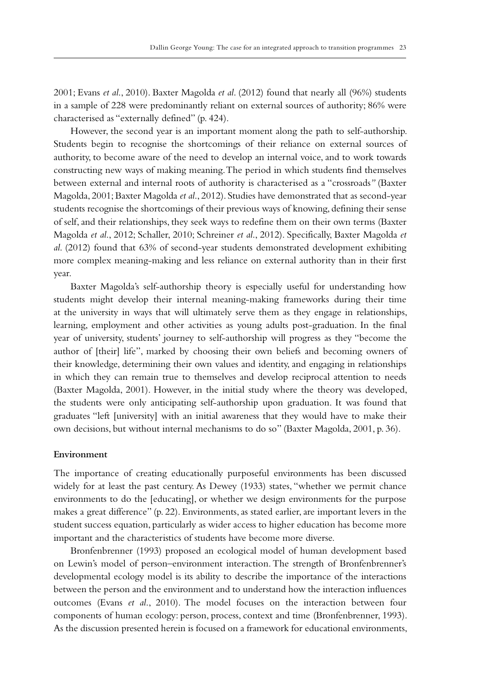2001; Evans *et al*., 2010). Baxter Magolda *et al*. (2012) found that nearly all (96%) students in a sample of 228 were predominantly reliant on external sources of authority; 86% were characterised as "externally defined" (p. 424).

However, the second year is an important moment along the path to self-authorship. Students begin to recognise the shortcomings of their reliance on external sources of authority, to become aware of the need to develop an internal voice, and to work towards constructing new ways of making meaning. The period in which students find themselves between external and internal roots of authority is characterised as a "crossroads*"* (Baxter Magolda, 2001; Baxter Magolda *et al*., 2012). Studies have demonstrated that as second-year students recognise the shortcomings of their previous ways of knowing, defining their sense of self, and their relationships, they seek ways to redefine them on their own terms (Baxter Magolda *et al*., 2012; Schaller, 2010; Schreiner *et al*., 2012). Specifically, Baxter Magolda *et al*. (2012) found that 63% of second-year students demonstrated development exhibiting more complex meaning-making and less reliance on external authority than in their first year.

Baxter Magolda's self-authorship theory is especially useful for understanding how students might develop their internal meaning-making frameworks during their time at the university in ways that will ultimately serve them as they engage in relationships, learning, employment and other activities as young adults post-graduation. In the final year of university, students' journey to self-authorship will progress as they "become the author of [their] life", marked by choosing their own beliefs and becoming owners of their knowledge, determining their own values and identity, and engaging in relationships in which they can remain true to themselves and develop reciprocal attention to needs (Baxter Magolda, 2001). However, in the initial study where the theory was developed, the students were only anticipating self-authorship upon graduation. It was found that graduates "left [university] with an initial awareness that they would have to make their own decisions, but without internal mechanisms to do so" (Baxter Magolda, 2001, p. 36).

#### **Environment**

The importance of creating educationally purposeful environments has been discussed widely for at least the past century. As Dewey (1933) states, "whether we permit chance environments to do the [educating], or whether we design environments for the purpose makes a great difference" (p. 22). Environments, as stated earlier, are important levers in the student success equation, particularly as wider access to higher education has become more important and the characteristics of students have become more diverse.

Bronfenbrenner (1993) proposed an ecological model of human development based on Lewin's model of person–environment interaction. The strength of Bronfenbrenner's developmental ecology model is its ability to describe the importance of the interactions between the person and the environment and to understand how the interaction influences outcomes (Evans *et al*., 2010). The model focuses on the interaction between four components of human ecology: person, process, context and time (Bronfenbrenner, 1993). As the discussion presented herein is focused on a framework for educational environments,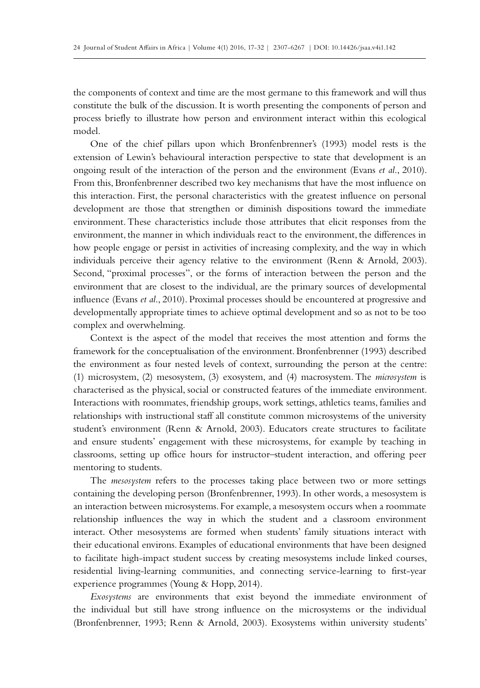the components of context and time are the most germane to this framework and will thus constitute the bulk of the discussion. It is worth presenting the components of person and process briefly to illustrate how person and environment interact within this ecological model.

One of the chief pillars upon which Bronfenbrenner's (1993) model rests is the extension of Lewin's behavioural interaction perspective to state that development is an ongoing result of the interaction of the person and the environment (Evans *et al*., 2010). From this, Bronfenbrenner described two key mechanisms that have the most influence on this interaction. First, the personal characteristics with the greatest influence on personal development are those that strengthen or diminish dispositions toward the immediate environment. These characteristics include those attributes that elicit responses from the environment, the manner in which individuals react to the environment, the differences in how people engage or persist in activities of increasing complexity, and the way in which individuals perceive their agency relative to the environment (Renn & Arnold, 2003). Second, "proximal processes", or the forms of interaction between the person and the environment that are closest to the individual, are the primary sources of developmental influence (Evans *et al*., 2010). Proximal processes should be encountered at progressive and developmentally appropriate times to achieve optimal development and so as not to be too complex and overwhelming.

Context is the aspect of the model that receives the most attention and forms the framework for the conceptualisation of the environment. Bronfenbrenner (1993) described the environment as four nested levels of context, surrounding the person at the centre: (1) microsystem, (2) mesosystem, (3) exosystem, and (4) macrosystem. The *microsystem* is characterised as the physical, social or constructed features of the immediate environment. Interactions with roommates, friendship groups, work settings, athletics teams, families and relationships with instructional staff all constitute common microsystems of the university student's environment (Renn & Arnold, 2003). Educators create structures to facilitate and ensure students' engagement with these microsystems, for example by teaching in classrooms, setting up office hours for instructor–student interaction, and offering peer mentoring to students.

The *mesosystem* refers to the processes taking place between two or more settings containing the developing person (Bronfenbrenner, 1993). In other words, a mesosystem is an interaction between microsystems. For example, a mesosystem occurs when a roommate relationship influences the way in which the student and a classroom environment interact. Other mesosystems are formed when students' family situations interact with their educational environs. Examples of educational environments that have been designed to facilitate high-impact student success by creating mesosystems include linked courses, residential living-learning communities, and connecting service-learning to first-year experience programmes (Young & Hopp, 2014).

*Exosystems* are environments that exist beyond the immediate environment of the individual but still have strong influence on the microsystems or the individual (Bronfenbrenner, 1993; Renn & Arnold, 2003). Exosystems within university students'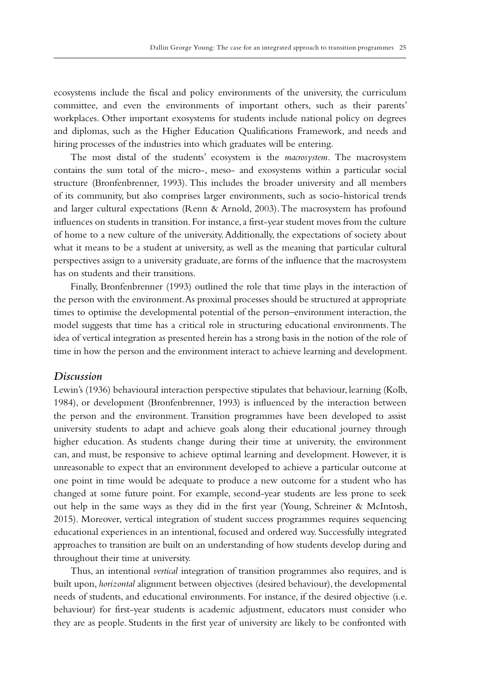ecosystems include the fiscal and policy environments of the university, the curriculum committee, and even the environments of important others, such as their parents' workplaces. Other important exosystems for students include national policy on degrees and diplomas, such as the Higher Education Qualifications Framework, and needs and hiring processes of the industries into which graduates will be entering.

The most distal of the students' ecosystem is the *macrosystem.* The macrosystem contains the sum total of the micro-, meso- and exosystems within a particular social structure (Bronfenbrenner, 1993). This includes the broader university and all members of its community, but also comprises larger environments, such as socio-historical trends and larger cultural expectations (Renn & Arnold, 2003). The macrosystem has profound influences on students in transition. For instance, a first-year student moves from the culture of home to a new culture of the university. Additionally, the expectations of society about what it means to be a student at university, as well as the meaning that particular cultural perspectives assign to a university graduate, are forms of the influence that the macrosystem has on students and their transitions.

Finally, Bronfenbrenner (1993) outlined the role that time plays in the interaction of the person with the environment. As proximal processes should be structured at appropriate times to optimise the developmental potential of the person–environment interaction, the model suggests that time has a critical role in structuring educational environments. The idea of vertical integration as presented herein has a strong basis in the notion of the role of time in how the person and the environment interact to achieve learning and development.

#### *Discussion*

Lewin's (1936) behavioural interaction perspective stipulates that behaviour, learning (Kolb, 1984), or development (Bronfenbrenner, 1993) is influenced by the interaction between the person and the environment. Transition programmes have been developed to assist university students to adapt and achieve goals along their educational journey through higher education. As students change during their time at university, the environment can, and must, be responsive to achieve optimal learning and development. However, it is unreasonable to expect that an environment developed to achieve a particular outcome at one point in time would be adequate to produce a new outcome for a student who has changed at some future point. For example, second-year students are less prone to seek out help in the same ways as they did in the first year (Young, Schreiner & McIntosh, 2015). Moreover, vertical integration of student success programmes requires sequencing educational experiences in an intentional, focused and ordered way. Successfully integrated approaches to transition are built on an understanding of how students develop during and throughout their time at university.

Thus, an intentional *vertical* integration of transition programmes also requires, and is built upon, *horizontal* alignment between objectives (desired behaviour), the developmental needs of students, and educational environments. For instance, if the desired objective (i.e. behaviour) for first-year students is academic adjustment, educators must consider who they are as people. Students in the first year of university are likely to be confronted with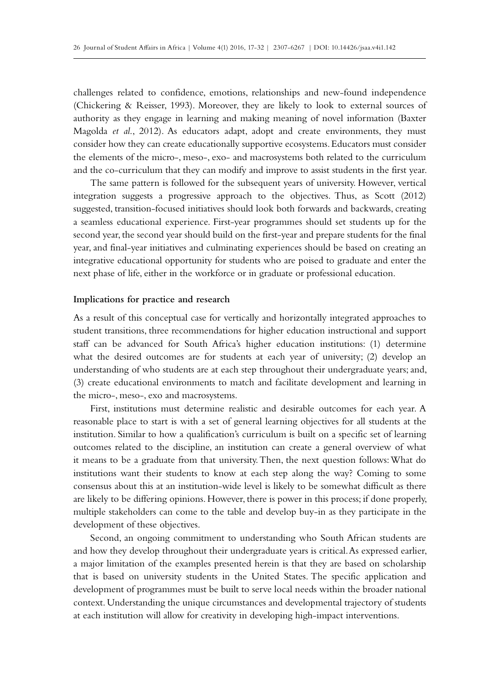challenges related to confidence, emotions, relationships and new-found independence (Chickering & Reisser, 1993). Moreover, they are likely to look to external sources of authority as they engage in learning and making meaning of novel information (Baxter Magolda *et al*., 2012). As educators adapt, adopt and create environments, they must consider how they can create educationally supportive ecosystems. Educators must consider the elements of the micro-, meso-, exo- and macrosystems both related to the curriculum and the co-curriculum that they can modify and improve to assist students in the first year.

The same pattern is followed for the subsequent years of university. However, vertical integration suggests a progressive approach to the objectives. Thus, as Scott (2012) suggested, transition-focused initiatives should look both forwards and backwards, creating a seamless educational experience. First-year programmes should set students up for the second year, the second year should build on the first-year and prepare students for the final year, and final-year initiatives and culminating experiences should be based on creating an integrative educational opportunity for students who are poised to graduate and enter the next phase of life, either in the workforce or in graduate or professional education.

#### **Implications for practice and research**

As a result of this conceptual case for vertically and horizontally integrated approaches to student transitions, three recommendations for higher education instructional and support staff can be advanced for South Africa's higher education institutions: (1) determine what the desired outcomes are for students at each year of university; (2) develop an understanding of who students are at each step throughout their undergraduate years; and, (3) create educational environments to match and facilitate development and learning in the micro-, meso-, exo and macrosystems.

First, institutions must determine realistic and desirable outcomes for each year. A reasonable place to start is with a set of general learning objectives for all students at the institution. Similar to how a qualification's curriculum is built on a specific set of learning outcomes related to the discipline, an institution can create a general overview of what it means to be a graduate from that university. Then, the next question follows: What do institutions want their students to know at each step along the way? Coming to some consensus about this at an institution-wide level is likely to be somewhat difficult as there are likely to be differing opinions. However, there is power in this process; if done properly, multiple stakeholders can come to the table and develop buy-in as they participate in the development of these objectives.

Second, an ongoing commitment to understanding who South African students are and how they develop throughout their undergraduate years is critical. As expressed earlier, a major limitation of the examples presented herein is that they are based on scholarship that is based on university students in the United States. The specific application and development of programmes must be built to serve local needs within the broader national context. Understanding the unique circumstances and developmental trajectory of students at each institution will allow for creativity in developing high-impact interventions.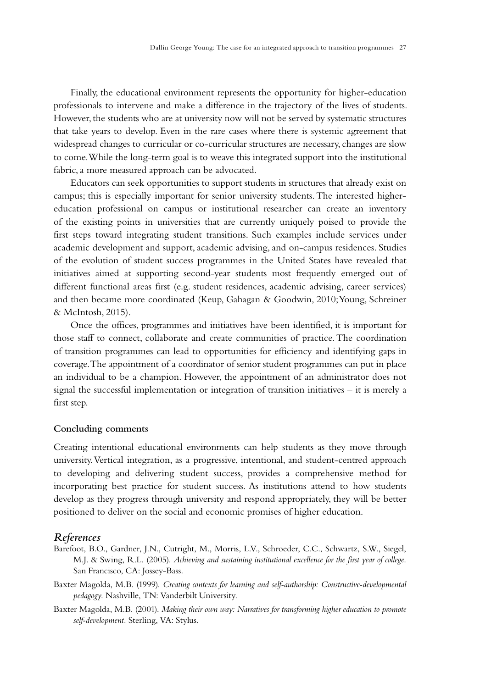Finally, the educational environment represents the opportunity for higher-education professionals to intervene and make a difference in the trajectory of the lives of students. However, the students who are at university now will not be served by systematic structures that take years to develop. Even in the rare cases where there is systemic agreement that widespread changes to curricular or co-curricular structures are necessary, changes are slow to come. While the long-term goal is to weave this integrated support into the institutional fabric, a more measured approach can be advocated.

Educators can seek opportunities to support students in structures that already exist on campus; this is especially important for senior university students. The interested highereducation professional on campus or institutional researcher can create an inventory of the existing points in universities that are currently uniquely poised to provide the first steps toward integrating student transitions. Such examples include services under academic development and support, academic advising, and on-campus residences. Studies of the evolution of student success programmes in the United States have revealed that initiatives aimed at supporting second-year students most frequently emerged out of different functional areas first (e.g. student residences, academic advising, career services) and then became more coordinated (Keup, Gahagan & Goodwin, 2010; Young, Schreiner & McIntosh, 2015).

Once the offices, programmes and initiatives have been identified, it is important for those staff to connect, collaborate and create communities of practice. The coordination of transition programmes can lead to opportunities for efficiency and identifying gaps in coverage. The appointment of a coordinator of senior student programmes can put in place an individual to be a champion. However, the appointment of an administrator does not signal the successful implementation or integration of transition initiatives – it is merely a first step.

#### **Concluding comments**

Creating intentional educational environments can help students as they move through university. Vertical integration, as a progressive, intentional, and student-centred approach to developing and delivering student success, provides a comprehensive method for incorporating best practice for student success. As institutions attend to how students develop as they progress through university and respond appropriately, they will be better positioned to deliver on the social and economic promises of higher education.

#### *References*

- Barefoot, B.O., Gardner, J.N., Cutright, M., Morris, L.V., Schroeder, C.C., Schwartz, S.W., Siegel, M.J. & Swing, R.L. (2005). *Achieving and sustaining institutional excellence for the first year of college*. San Francisco, CA: Jossey-Bass.
- Baxter Magolda, M.B. (1999). *Creating contexts for learning and self-authorship: Constructive-developmental pedagogy.* Nashville, TN: Vanderbilt University.
- Baxter Magolda, M.B. (2001). *Making their own way: Narratives for transforming higher education to promote self-development.* Sterling, VA: Stylus.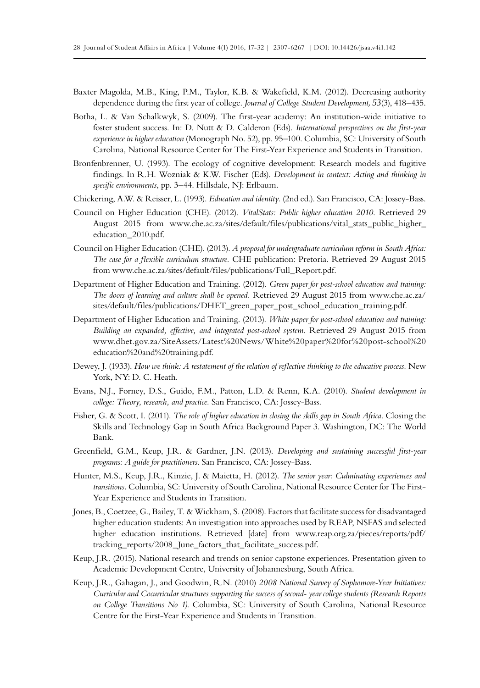- Baxter Magolda, M.B., King, P.M., Taylor, K.B. & Wakefield, K.M. (2012). Decreasing authority dependence during the first year of college. *Journal of College Student Development, 53*(3), 418–435.
- Botha, L. & Van Schalkwyk, S. (2009). The first-year academy: An institution-wide initiative to foster student success. In: D. Nutt & D. Calderon (Eds). *International perspectives on the first-year experience in higher education* (Monograph No. 52), pp. 95–100. Columbia, SC: University of South Carolina, National Resource Center for The First-Year Experience and Students in Transition.
- Bronfenbrenner, U. (1993). The ecology of cognitive development: Research models and fugitive findings. In R.H. Wozniak & K.W. Fischer (Eds). *Development in context: Acting and thinking in specific environments*, pp. 3–44. Hillsdale, NJ: Erlbaum.
- Chickering, A.W. & Reisser, L. (1993). *Education and identity.* (2nd ed.). San Francisco, CA: Jossey-Bass.
- Council on Higher Education (CHE). (2012). *VitalStats: Public higher education 2010.* Retrieved 29 August 2015 from www.che.ac.za/sites/default/files/publications/vital\_stats\_public\_higher\_ education\_2010.pdf.
- Council on Higher Education (CHE). (2013). *A proposal for undergraduate curriculum reform in South Africa: The case for a flexible curriculum structure.* CHE publication: Pretoria. Retrieved 29 August 2015 from www.che.ac.za/sites/default/files/publications/Full\_Report.pdf.
- Department of Higher Education and Training. (2012). *Green paper for post-school education and training: The doors of learning and culture shall be opened.* Retrieved 29 August 2015 from www.che.ac.za/ sites/default/files/publications/DHET\_green\_paper\_post\_school\_education\_training.pdf.
- Department of Higher Education and Training. (2013). *White paper for post-school education and training: Building an expanded, effective, and integrated post-school system.* Retrieved 29 August 2015 from www.dhet.gov.za/SiteAssets/Latest%20News/White%20paper%20for%20post-school%20 education%20and%20training.pdf.
- Dewey, J. (1933). *How we think: A restatement of the relation of reflective thinking to the educative process.* New York, NY: D. C. Heath.
- Evans, N.J., Forney, D.S., Guido, F.M., Patton, L.D. & Renn, K.A. (2010). *Student development in college: Theory, research, and practice.* San Francisco, CA: Jossey-Bass.
- Fisher, G. & Scott, I. (2011). *The role of higher education in closing the skills gap in South Africa*. Closing the Skills and Technology Gap in South Africa Background Paper 3. Washington, DC: The World Bank.
- Greenfield, G.M., Keup, J.R. & Gardner, J.N. (2013). *Developing and sustaining successful first-year programs: A guide for practitioners*. San Francisco, CA: Jossey-Bass.
- Hunter, M.S., Keup, J.R., Kinzie, J. & Maietta, H. (2012). *The senior year: Culminating experiences and transitions.* Columbia, SC: University of South Carolina, National Resource Center for The First-Year Experience and Students in Transition.
- Jones, B., Coetzee, G., Bailey, T. & Wickham, S. (2008). Factors that facilitate success for disadvantaged higher education students: An investigation into approaches used by REAP, NSFAS and selected higher education institutions. Retrieved [date] from www.reap.org.za/pieces/reports/pdf/ tracking\_reports/2008\_June\_factors\_that\_facilitate\_success.pdf.
- Keup, J.R. (2015). National research and trends on senior capstone experiences. Presentation given to Academic Development Centre, University of Johannesburg, South Africa.
- Keup, J.R., Gahagan, J., and Goodwin, R.N. (2010) *2008 National Survey of Sophomore-Year Initiatives: Curricular and Cocurricular structures supporting the success of second- year college students (Research Reports on College Transitions No 1)*. Columbia, SC: University of South Carolina, National Resource Centre for the First-Year Experience and Students in Transition.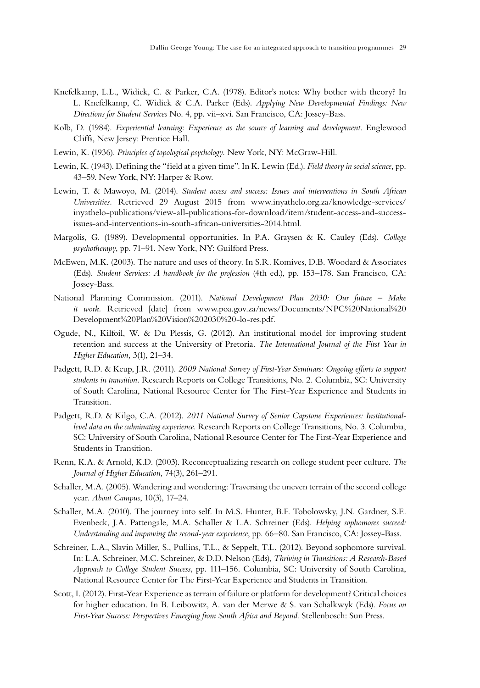- Knefelkamp, L.L., Widick, C. & Parker, C.A. (1978). Editor's notes: Why bother with theory? In L. Knefelkamp, C. Widick & C.A. Parker (Eds). *Applying New Developmental Findings: New Directions for Student Services* No. 4, pp. vii–xvi. San Francisco, CA: Jossey-Bass.
- Kolb, D. (1984). *Experiential learning: Experience as the source of learning and development*. Englewood Cliffs, New Jersey: Prentice Hall.
- Lewin, K. (1936). *Principles of topological psychology.* New York, NY: McGraw-Hill.
- Lewin, K. (1943). Defining the "field at a given time". In K. Lewin (Ed.). *Field theory in social science*, pp. 43–59. New York, NY: Harper & Row.
- Lewin, T. & Mawoyo, M. (2014). *Student access and success: Issues and interventions in South African Universities.* Retrieved 29 August 2015 from www.inyathelo.org.za/knowledge-services/ inyathelo-publications/view-all-publications-for-download/item/student-access-and-successissues-and-interventions-in-south-african-universities-2014.html.
- Margolis, G. (1989). Developmental opportunities. In P.A. Graysen & K. Cauley (Eds). *College psychotherapy*, pp. 71–91. New York, NY: Guilford Press.
- McEwen, M.K. (2003). The nature and uses of theory. In S.R. Komives, D.B. Woodard & Associates (Eds). *Student Services: A handbook for the profession* (4th ed.), pp. 153–178. San Francisco, CA: Jossey-Bass.
- National Planning Commission. (2011). *National Development Plan 2030: Our future Make it work.* Retrieved [date] from www.poa.gov.za/news/Documents/NPC%20National%20 Development%20Plan%20Vision%202030%20-lo-res.pdf.
- Ogude, N., Kilfoil, W. & Du Plessis, G. (2012). An institutional model for improving student retention and success at the University of Pretoria. *The International Journal of the First Year in Higher Education,* 3(1), 21–34.
- Padgett, R.D. & Keup, J.R. (2011). *2009 National Survey of First-Year Seminars: Ongoing efforts to support students in transition.* Research Reports on College Transitions, No. 2. Columbia, SC: University of South Carolina, National Resource Center for The First-Year Experience and Students in Transition.
- Padgett, R.D. & Kilgo, C.A. (2012). *2011 National Survey of Senior Capstone Experiences: Institutionallevel data on the culminating experience*. Research Reports on College Transitions, No. 3. Columbia, SC: University of South Carolina, National Resource Center for The First-Year Experience and Students in Transition.
- Renn, K.A. & Arnold, K.D. (2003). Reconceptualizing research on college student peer culture. *The Journal of Higher Education,* 74(3), 261–291.
- Schaller, M.A. (2005). Wandering and wondering: Traversing the uneven terrain of the second college year. *About Campus*, 10(3), 17–24.
- Schaller, M.A. (2010). The journey into self. In M.S. Hunter, B.F. Tobolowsky, J.N. Gardner, S.E. Evenbeck, J.A. Pattengale, M.A. Schaller & L.A. Schreiner (Eds). *Helping sophomores succeed: Understanding and improving the second-year experience*, pp. 66–80. San Francisco, CA: Jossey-Bass.
- Schreiner, L.A., Slavin Miller, S., Pullins, T.L., & Seppelt, T.L. (2012). Beyond sophomore survival. In: L.A. Schreiner, M.C. Schreiner, & D.D. Nelson (Eds), *Thriving in Transitions: A Research-Based Approach to College Student Success*, pp. 111–156. Columbia, SC: University of South Carolina, National Resource Center for The First-Year Experience and Students in Transition.
- Scott, I. (2012). First-Year Experience as terrain of failure or platform for development? Critical choices for higher education. In B. Leibowitz, A. van der Merwe & S. van Schalkwyk (Eds). *Focus on First-Year Success: Perspectives Emerging from South Africa and Beyond*. Stellenbosch: Sun Press.